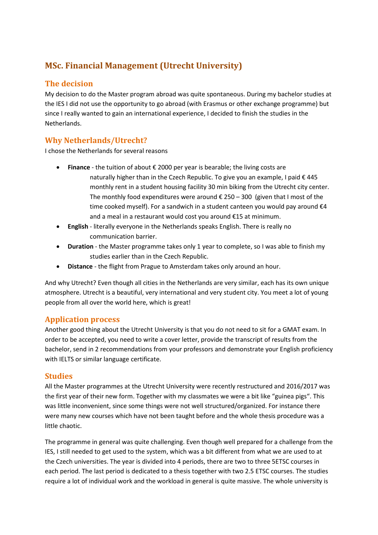# **MSc. Financial Management (Utrecht University)**

## **The decision**

My decision to do the Master program abroad was quite spontaneous. During my bachelor studies at the IES I did not use the opportunity to go abroad (with Erasmus or other exchange programme) but since I really wanted to gain an international experience, I decided to finish the studies in the Netherlands.

## **Why Netherlands/Utrecht?**

I chose the Netherlands for several reasons

- **Finance** the tuition of about € 2000 per year is bearable; the living costs are naturally higher than in the Czech Republic. To give you an example, I paid € 445 monthly rent in a student housing facility 30 min biking from the Utrecht city center. The monthly food expenditures were around  $\epsilon$  250 – 300 (given that I most of the time cooked myself). For a sandwich in a student canteen you would pay around  $\epsilon$ 4 and a meal in a restaurant would cost you around €15 at minimum.
- **English** literally everyone in the Netherlands speaks English. There is really no communication barrier.
- **Duration** the Master programme takes only 1 year to complete, so I was able to finish my studies earlier than in the Czech Republic.
- **Distance** the flight from Prague to Amsterdam takes only around an hour.

And why Utrecht? Even though all cities in the Netherlands are very similar, each has its own unique atmosphere. Utrecht is a beautiful, very international and very student city. You meet a lot of young people from all over the world here, which is great!

#### **Application process**

Another good thing about the Utrecht University is that you do not need to sit for a GMAT exam. In order to be accepted, you need to write a cover letter, provide the transcript of results from the bachelor, send in 2 recommendations from your professors and demonstrate your English proficiency with IELTS or similar language certificate.

#### **Studies**

All the Master programmes at the Utrecht University were recently restructured and 2016/2017 was the first year of their new form. Together with my classmates we were a bit like "guinea pigs". This was little inconvenient, since some things were not well structured/organized. For instance there were many new courses which have not been taught before and the whole thesis procedure was a little chaotic.

The programme in general was quite challenging. Even though well prepared for a challenge from the IES, I still needed to get used to the system, which was a bit different from what we are used to at the Czech universities. The year is divided into 4 periods, there are two to three 5ETSC courses in each period. The last period is dedicated to a thesis together with two 2.5 ETSC courses. The studies require a lot of individual work and the workload in general is quite massive. The whole university is